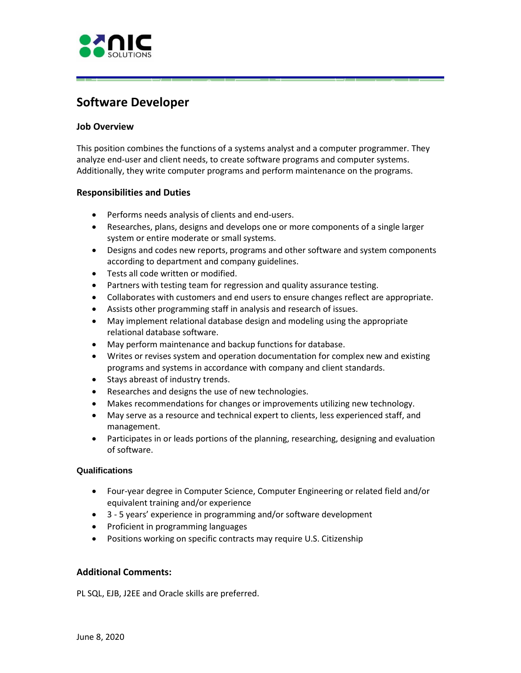

# **Software Developer**

## **Job Overview**

 Additionally, they write computer programs and perform maintenance on the programs. This position combines the functions of a systems analyst and a computer programmer. They analyze end-user and client needs, to create software programs and computer systems.

E5C:C =:::::s **!L!5** ....... :::::sc:::== 1,........,1

## **Responsibilities and Duties**

- Performs needs analysis of clients and end-users.
- Researches, plans, designs and develops one or more components of a single larger system or entire moderate or small systems.
- Designs and codes new reports, programs and other software and system components according to department and company guidelines.
- Tests all code written or modified.
- Partners with testing team for regression and quality assurance testing.
- Collaborates with customers and end users to ensure changes reflect are appropriate.
- Assists other programming staff in analysis and research of issues.
- May implement relational database design and modeling using the appropriate relational database software.
- May perform maintenance and backup functions for database.
- • Writes or revises system and operation documentation for complex new and existing programs and systems in accordance with company and client standards.
- Stays abreast of industry trends.
- Researches and designs the use of new technologies.
- Makes recommendations for changes or improvements utilizing new technology.
- May serve as a resource and technical expert to clients, less experienced staff, and management.
- Participates in or leads portions of the planning, researching, designing and evaluation of software.

#### **Qualifications**

- Four-year degree in Computer Science, Computer Engineering or related field and/or equivalent training and/or experience
- 3 5 years' experience in programming and/or software development
- Proficient in programming languages
- Positions working on specific contracts may require U.S. Citizenship

## **Additional Comments:**

PL SQL, EJB, J2EE and Oracle skills are preferred.